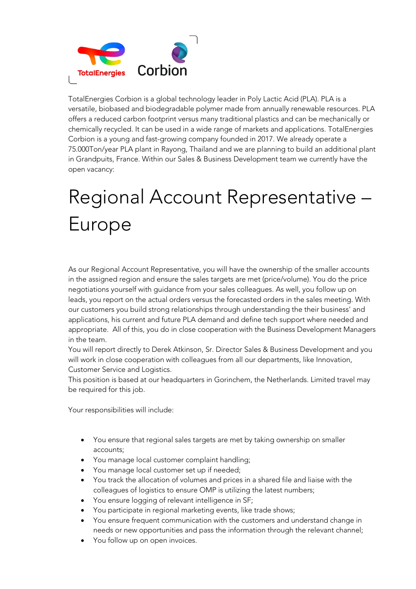

TotalEnergies Corbion is a global technology leader in Poly Lactic Acid (PLA). PLA is a versatile, biobased and biodegradable polymer made from annually renewable resources. PLA offers a reduced carbon footprint versus many traditional plastics and can be mechanically or chemically recycled. It can be used in a wide range of markets and applications. TotalEnergies Corbion is a young and fast-growing company founded in 2017. We already operate a 75.000Ton/year PLA plant in Rayong, Thailand and we are planning to build an additional plant in Grandpuits, France. Within our Sales & Business Development team we currently have the open vacancy:

## Regional Account Representative – Europe

As our Regional Account Representative, you will have the ownership of the smaller accounts in the assigned region and ensure the sales targets are met (price/volume). You do the price negotiations yourself with guidance from your sales colleagues. As well, you follow up on leads, you report on the actual orders versus the forecasted orders in the sales meeting. With our customers you build strong relationships through understanding the their business' and applications, his current and future PLA demand and define tech support where needed and appropriate. All of this, you do in close cooperation with the Business Development Managers in the team.

You will report directly to Derek Atkinson, Sr. Director Sales & Business Development and you will work in close cooperation with colleagues from all our departments, like Innovation, Customer Service and Logistics.

This position is based at our headquarters in Gorinchem, the Netherlands. Limited travel may be required for this job.

Your responsibilities will include:

- You ensure that regional sales targets are met by taking ownership on smaller accounts;
- You manage local customer complaint handling;
- You manage local customer set up if needed;
- You track the allocation of volumes and prices in a shared file and liaise with the colleagues of logistics to ensure OMP is utilizing the latest numbers;
- You ensure logging of relevant intelligence in SF;
- You participate in regional marketing events, like trade shows;
- You ensure frequent communication with the customers and understand change in needs or new opportunities and pass the information through the relevant channel;
- You follow up on open invoices.